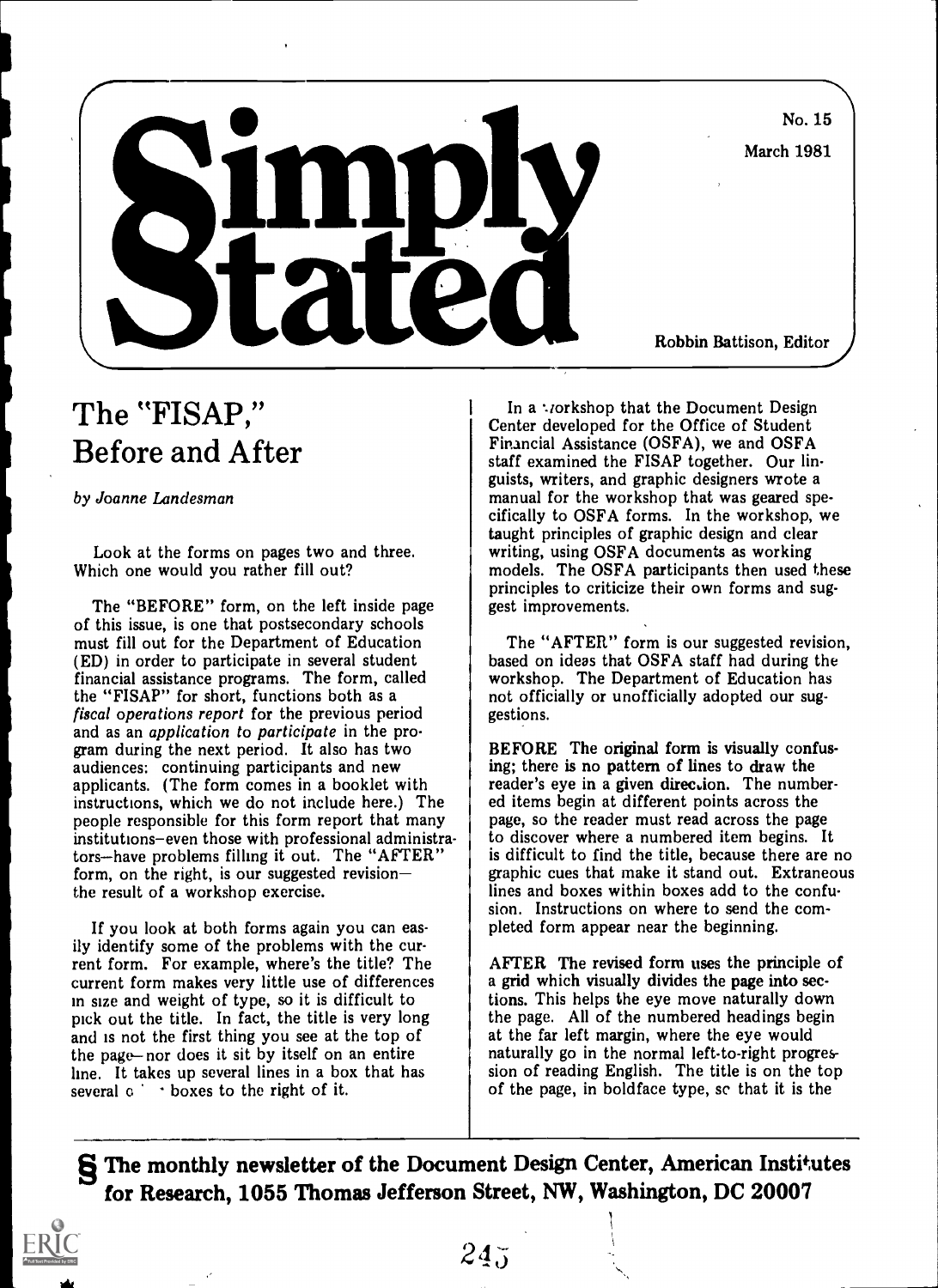No. 15

March 1981



Robbin Battison, Editor}

## The "FISAP," Before and After

by Joanne Landesman

Look at the forms on pages two and three. Which one would you rather fill out?

The "BEFORE" form, on the left inside page of this issue, is one that postsecondary schools must fill out for the Department of Education (ED) in order to participate in several student financial assistance programs. The form, called the "FISAP" for short, functions both as a fiscal operations report for the previous period and as an application to participate in the program during the next period. It also has two audiences: continuing participants and new applicants. (The form comes in a booklet with instructions, which we do not include here.) The people responsible for this form report that many institutions-even those with professional administrators—have problems filling it out. The "AFTER" form, on the right, is our suggested revision the result of a workshop exercise.

If you look at both forms again you can easily identify some of the problems with the current form. For example, where's the title? The current form makes very little use of differences in size and weight of type, so it is difficult to pick out the title. In fact, the title is very long and is not the first thing you see at the top of the page-nor does it sit by itself on an entire line. It takes up several lines in a box that has several  $\circ$   $\cdot$  boxes to the right of it.

In a workshop that the Document Design Center developed for the Office of Student Financial Assistance (OSFA), we and OSFA staff examined the FISAP together. Our linguists, writers, and graphic designers wrote a manual for the workshop that was geared specifically to OSFA forms. In the workshop, we taught principles of graphic design and clear writing, using OSFA documents as working models. The OSFA participants then used these principles to criticize their own forms and suggest improvements.

The "AFTER" form is our suggested revision, based on ideas that OSFA staff had during the workshop. The Department of Education has not officially or unofficially adopted our suggestions.

BEFORE The original form is visually confusing; there is no pattern of lines to draw the reader's eye in a given direction. The numbered items begin at different points across the page, so the reader must read across the page to discover where a numbered item begins. It is difficult to find the title, because there are no graphic cues that make it stand out. Extraneous lines and boxes within boxes add to the confusion. Instructions on where to send the completed form appear near the beginning.

AFTER The revised form uses the principle of a grid which visually divides the page into sections. This helps the eye move naturally down the page. All of the numbered headings begin at the far left margin, where the eye would naturally go in the normal left-to-right progression of reading English. The title is on the top of the page, in boldface type, sc that it is the

> ) 1 I

§ The monthly newsletter of the Document Design Center, American Institutes for Research, 1055 Thomas Jefferson Street, NW, Washington, DC 20007

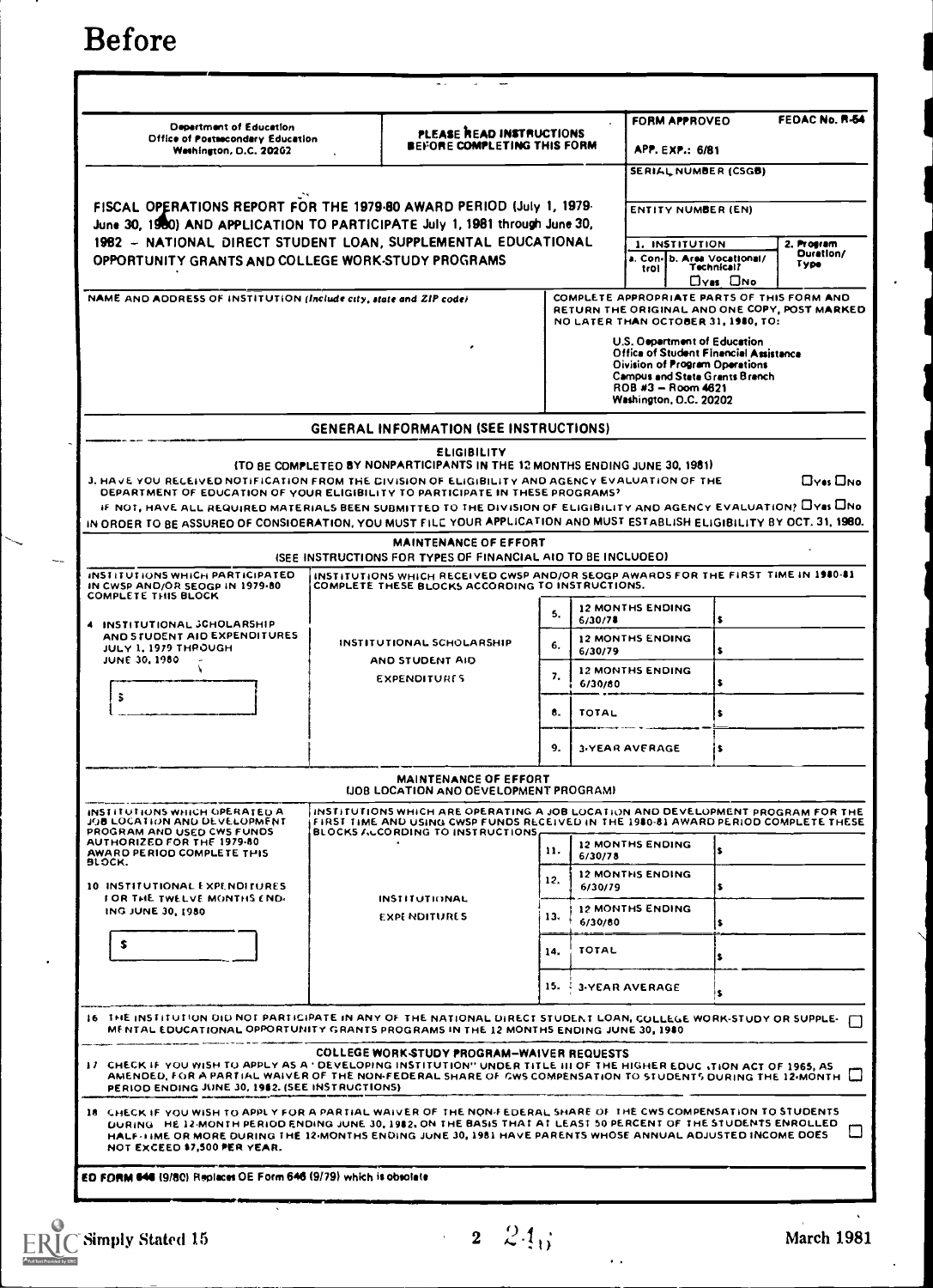Before

| <b>Department of Education</b><br><b>Diffice of Postsecondary Education</b><br>Weshington, D.C. 20202                                                                                                                                                                                                                                                                                                                             | PLEASE READ INSTRUCTIONS<br>BEFORE COMPLETING THIS FORM |                                                                                                                                                                                                  |     |                                                                                                                                                                        | FEDAC No. R-54<br><b>FORM APPROVEO</b><br><b>APP. EXP.: 6/81</b><br>SERIAL NUMBER (CSGB) |                                                                                                                                                                 |                                               |  |
|-----------------------------------------------------------------------------------------------------------------------------------------------------------------------------------------------------------------------------------------------------------------------------------------------------------------------------------------------------------------------------------------------------------------------------------|---------------------------------------------------------|--------------------------------------------------------------------------------------------------------------------------------------------------------------------------------------------------|-----|------------------------------------------------------------------------------------------------------------------------------------------------------------------------|------------------------------------------------------------------------------------------|-----------------------------------------------------------------------------------------------------------------------------------------------------------------|-----------------------------------------------|--|
| FISCAL OPERATIONS REPORT FOR THE 1979-80 AWARD PERIOD (July 1, 1979-<br>June 30, 1980) AND APPLICATION TO PARTICIPATE July 1, 1981 through June 30,<br>1982 - NATIONAL DIRECT STUDENT LOAN, SUPPLEMENTAL EDUCATIONAL                                                                                                                                                                                                              |                                                         |                                                                                                                                                                                                  |     |                                                                                                                                                                        | <b>ENTITY NUMBER (EN)</b>                                                                |                                                                                                                                                                 |                                               |  |
| OPPORTUNITY GRANTS AND COLLEGE WORK-STUDY PROGRAMS                                                                                                                                                                                                                                                                                                                                                                                |                                                         |                                                                                                                                                                                                  |     |                                                                                                                                                                        | 1. INSTITUTION<br>trol                                                                   | a. Con-Ib. Area Vocational/<br><b>Technical?</b><br>Oyas Ono                                                                                                    | 2. Program<br>Duration/<br>Туре               |  |
| NAME AND ADDRESS OF INSTITUTION (Include city, state and ZIP code)                                                                                                                                                                                                                                                                                                                                                                |                                                         |                                                                                                                                                                                                  |     |                                                                                                                                                                        |                                                                                          | COMPLETE APPROPRIATE PARTS OF THIS FORM AND<br>NO LATER THAN OCTOBER 31, 1980, TO:                                                                              | RETURN THE ORIGINAL AND ONE COPY, POST MARKED |  |
|                                                                                                                                                                                                                                                                                                                                                                                                                                   |                                                         |                                                                                                                                                                                                  |     |                                                                                                                                                                        | ROB #3 - Room 4621<br><b>Washington, O.C. 20202</b>                                      | U.S. Occartment of Education<br><b>Office of Student Financial Assistance</b><br><b>Olvision of Program Operations</b><br><b>Campus and State Grants Branch</b> |                                               |  |
|                                                                                                                                                                                                                                                                                                                                                                                                                                   |                                                         | <b>GENERAL INFORMATION (SEE INSTRUCTIONS)</b>                                                                                                                                                    |     |                                                                                                                                                                        |                                                                                          |                                                                                                                                                                 |                                               |  |
| 3. HAVE YOU RECEIVED NOTIFICATION FROM THE DIVISION OF ELIGIBILITY AND AGENCY EVALUATION OF THE<br>DEPARTMENT OF EDUCATION OF YOUR ELIGIBILITY TO PARTICIPATE IN THESE PROGRAMS?<br>IF NOT, HAVE ALL REQUIRED MATERIALS BEEN SUBMITTED TO THE DIVISION OF ELIGIBILITY AND AGENCY EVALUATION? LYSS UNO<br>IN ORDER TO BE ASSURED OF CONSIDERATION, YOU MUST FILE YOUR APPLICATION AND MUST ESTABLISH ELIGIBILITY BY OCT. 31, 1980. |                                                         | <b>ELIGIBILITY</b><br>(TO BE COMPLETED BY NONPARTICIPANTS IN THE 12 MONTHS ENDING JUNE 30, 1981)<br><b>MAINTENANCE OF EFFORT</b><br>(SEE INSTRUCTIONS FOR TYPES OF FINANCIAL AID TO BE INCLUDED) |     |                                                                                                                                                                        |                                                                                          |                                                                                                                                                                 | Oves Ono                                      |  |
| INSTITUTIONS WHICH PARTICIPATED<br>IN CWSP AND/OR SEOGP IN 1979-80                                                                                                                                                                                                                                                                                                                                                                |                                                         | INSTITUTIONS WHICH RECEIVED CWSP AND/OR SEOGP AWARDS FOR THE FIRST TIME IN 1980-81<br>COMPLETE THESE BLOCKS ACCORDING TO INSTRUCTIONS.                                                           |     |                                                                                                                                                                        |                                                                                          |                                                                                                                                                                 |                                               |  |
| <b>COMPLETE THIS BLOCK</b>                                                                                                                                                                                                                                                                                                                                                                                                        |                                                         |                                                                                                                                                                                                  | 5.  | <b>12 MONTHS ENDING</b>                                                                                                                                                |                                                                                          |                                                                                                                                                                 |                                               |  |
| 4 INSTITUTIONAL SCHOLARSHIP<br>AND STUDENT AID EXPENDITURES<br>JULY 1, 1979 THROUGH<br><b>JUNE 30, 1980</b>                                                                                                                                                                                                                                                                                                                       |                                                         | <b>INSTITUTIONAL SCHOLARSHIP</b>                                                                                                                                                                 | 6.  | 6/30/78<br>6/30/79                                                                                                                                                     | <b>12 MONTHS ENDING</b>                                                                  |                                                                                                                                                                 |                                               |  |
|                                                                                                                                                                                                                                                                                                                                                                                                                                   | AND STUDENT AID<br><b>EXPENDITURES</b>                  |                                                                                                                                                                                                  | 7,  | 6/30/80                                                                                                                                                                | <b>12 MONTHS ENDING</b>                                                                  |                                                                                                                                                                 |                                               |  |
| 3                                                                                                                                                                                                                                                                                                                                                                                                                                 |                                                         |                                                                                                                                                                                                  | 8.  | TOTAL                                                                                                                                                                  |                                                                                          |                                                                                                                                                                 |                                               |  |
|                                                                                                                                                                                                                                                                                                                                                                                                                                   |                                                         |                                                                                                                                                                                                  | 9.  |                                                                                                                                                                        | 3-YEAR AVERAGE                                                                           | is.                                                                                                                                                             |                                               |  |
|                                                                                                                                                                                                                                                                                                                                                                                                                                   |                                                         | MAINTENANCE OF EFFORT<br>(JOB LOCATION ANO OEVELOPMENT PROGRAM)                                                                                                                                  |     |                                                                                                                                                                        |                                                                                          |                                                                                                                                                                 |                                               |  |
| INSTITUTIONS WHICH GPERATED A<br>JOB LOCATION AND DEVELOPMENT.<br>PROGRAM AND USED CWS FUNDS                                                                                                                                                                                                                                                                                                                                      | BLOCKS ALCORDING TO INSTRUCTIONS,                       |                                                                                                                                                                                                  |     | INSTITUTIONS WHICH ARE OPERATING A JOB LOCATION AND DEVELOPMENT PROGRAM FOR THE<br>FIRST TIME AND USING CWSP FUNDS RECEIVED IN THE 1980-81 AWARD PERIOD COMPLETE THESE |                                                                                          |                                                                                                                                                                 |                                               |  |
| AUTHORIZED FOR THE 1979-80<br>AWARD PERIOD COMPLETE THIS<br>BLOCK.                                                                                                                                                                                                                                                                                                                                                                | <b>INSTITUTIONAL</b><br><b>EXPENDITURES</b>             |                                                                                                                                                                                                  | 11. | 6/30/78                                                                                                                                                                | <b>12 MONTHS ENDING</b>                                                                  |                                                                                                                                                                 |                                               |  |
| 10 INSTITUTIONAL EXPENDITURES<br><b>FOR THE TWELVE MONTHS END-</b>                                                                                                                                                                                                                                                                                                                                                                |                                                         |                                                                                                                                                                                                  | 12. | 6/30/79                                                                                                                                                                | <b>12 MONTHS ENDING</b>                                                                  |                                                                                                                                                                 |                                               |  |
| ING JUNE 30, 1980                                                                                                                                                                                                                                                                                                                                                                                                                 |                                                         |                                                                                                                                                                                                  | 13. | 6/30/80                                                                                                                                                                | <b>12 MONTHS ENDING</b>                                                                  |                                                                                                                                                                 |                                               |  |
| \$                                                                                                                                                                                                                                                                                                                                                                                                                                |                                                         |                                                                                                                                                                                                  | 14. | <b>TOTAL</b>                                                                                                                                                           |                                                                                          |                                                                                                                                                                 |                                               |  |
|                                                                                                                                                                                                                                                                                                                                                                                                                                   |                                                         |                                                                                                                                                                                                  | 15. | -4                                                                                                                                                                     | 3 YEAR AVERAGE                                                                           |                                                                                                                                                                 |                                               |  |
| 16 THE INSTITUTION DID NOT PARTICIPATE IN ANY OF THE NATIONAL DIRECT STUDENT LOAN, COLLEGE WORK-STUDY OR SUPPLE-<br>MENTAL EDUCATIONAL OPPORTUNITY GRANTS PROGRAMS IN THE 12 MONTHS ENDING JUNE 30, 1980                                                                                                                                                                                                                          |                                                         |                                                                                                                                                                                                  |     |                                                                                                                                                                        |                                                                                          |                                                                                                                                                                 |                                               |  |
| 17. CHECK IF YOU WISH TO APPLY AS A ' DEVELOPING INSTITUTION" UNDER TITLE III OF THE HIGHER EDUC ITION ACT OF 1965, AS<br>AMENDED, FOR A PARTIAL WAIVER OF THE NON-FEDERAL SHARE OF GWS COMPENSATION TO STUDENTS DURING THE 12-MONTH [1]<br>PERIOD ENDING JUNE 30, 1982. (SEE INSTRUCTIONS)                                                                                                                                       |                                                         | COLLEGE WORK STUDY PROGRAM-WAIVER REQUESTS                                                                                                                                                       |     |                                                                                                                                                                        |                                                                                          |                                                                                                                                                                 |                                               |  |
| 18 CHECK IF YOU WISH TO APPLY FOR A PARTIAL WAIVER OF THE NON-FEDERAL SHARE OF THE CWS COMPENSATION TO STUDENTS<br>DURING HE 12-MONTH PERIOD ENDING JUNE 30, 1982, ON THE BASIS THAT AT LEAST 50 PERCENT OF THE STUDENTS ENROLLED<br>HALF-HME OR MORE DURING THE 12-MONTHS ENDING JUNE 30, 1981 HAVE PARENTS WHOSE ANNUAL ADJUSTED INCOME DOES<br>NOT EXCEED \$7,500 PER YEAR.                                                    |                                                         |                                                                                                                                                                                                  |     |                                                                                                                                                                        |                                                                                          |                                                                                                                                                                 |                                               |  |
| ED FORM 646 (9/80) Replaces OE Form 646 (9/79) which is obsolate                                                                                                                                                                                                                                                                                                                                                                  |                                                         |                                                                                                                                                                                                  |     |                                                                                                                                                                        |                                                                                          |                                                                                                                                                                 |                                               |  |
|                                                                                                                                                                                                                                                                                                                                                                                                                                   |                                                         |                                                                                                                                                                                                  |     |                                                                                                                                                                        |                                                                                          |                                                                                                                                                                 |                                               |  |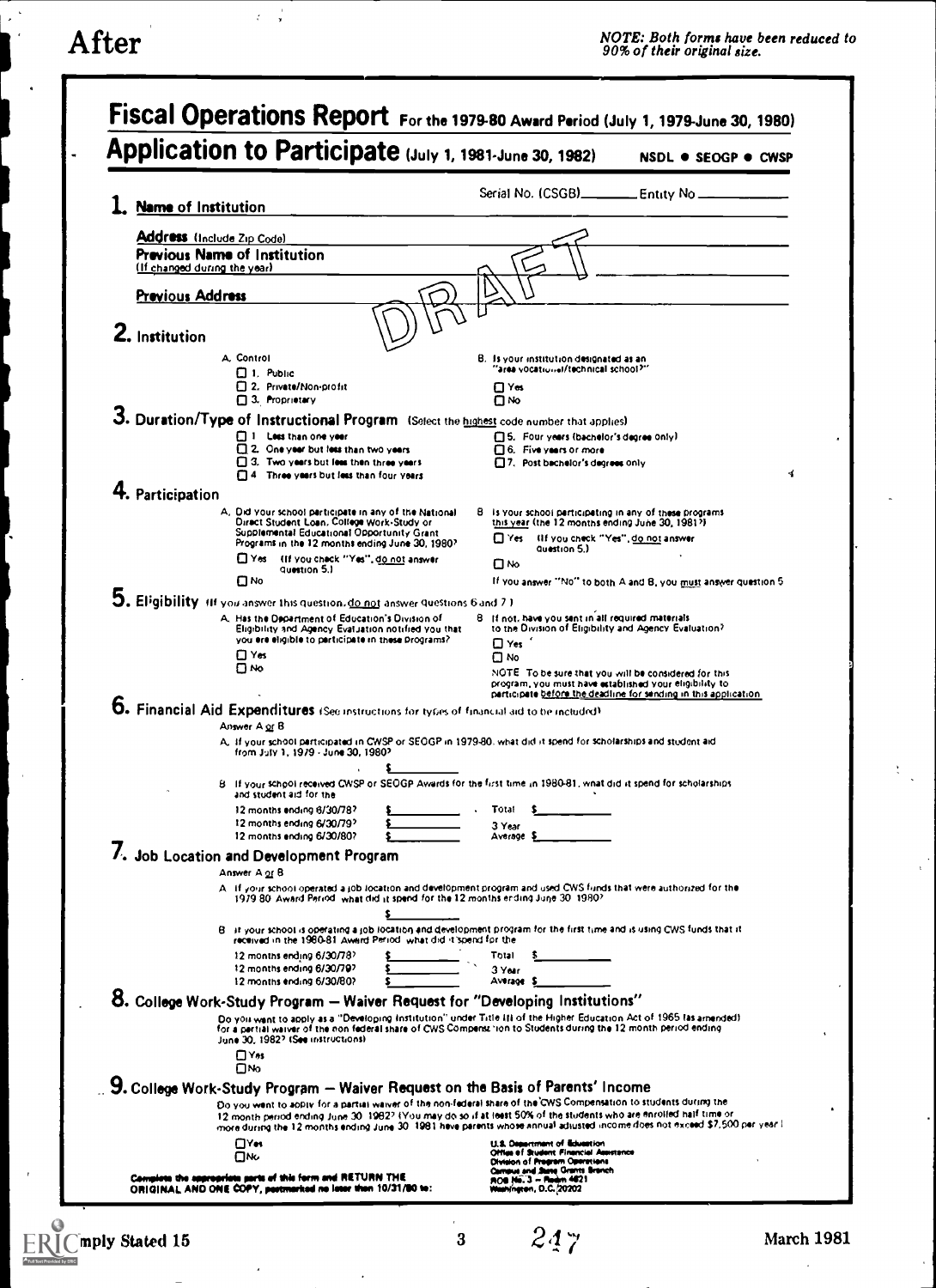$\tau=\frac{1}{2}$ 

 $\lambda$ 

 $\ddot{\phantom{0}}$ 

 $\overline{\phantom{a}}$ 

 $\mathcal{V}_{\mathcal{A}^{\text{out}}}$ 

 $\ddot{\phantom{a}}$ 

| Application to Participate (July 1, 1981-June 30, 1982)                                                                                           | NSDL . SEOGP . CWSP                                                                                                                                                                                                                               |
|---------------------------------------------------------------------------------------------------------------------------------------------------|---------------------------------------------------------------------------------------------------------------------------------------------------------------------------------------------------------------------------------------------------|
| <b>Name of Institution</b>                                                                                                                        | Serial No. (CSGB)______________ Entity No __                                                                                                                                                                                                      |
| <b>Address</b> (Include Zip Code)                                                                                                                 |                                                                                                                                                                                                                                                   |
| <b>Previous Name of Institution</b>                                                                                                               |                                                                                                                                                                                                                                                   |
| (If changed during the year)                                                                                                                      |                                                                                                                                                                                                                                                   |
| <b>Previous Address</b>                                                                                                                           |                                                                                                                                                                                                                                                   |
| 2. Institution                                                                                                                                    |                                                                                                                                                                                                                                                   |
| A. Control                                                                                                                                        | B. Is your institution designated as an                                                                                                                                                                                                           |
| $\Box$ 1. Public<br>2. Private/Non-profit                                                                                                         | "area vocational/technical school?"<br>⊡ Yes                                                                                                                                                                                                      |
| 3. Proprietary                                                                                                                                    | ⊙א                                                                                                                                                                                                                                                |
| 3. Duration/Type of Instructional Program (Select the highest code number that applies)<br>1 Less than one year                                   | □5. Four years (bachelor's degree only)                                                                                                                                                                                                           |
| 2. One year but less than two years                                                                                                               | $\Box$ 6. Five years or more                                                                                                                                                                                                                      |
| 3. Two years but less then three years<br>T14 Three years but less than four years                                                                | 7. Post bachelor's degrees only<br>ず                                                                                                                                                                                                              |
| 4. Participation                                                                                                                                  |                                                                                                                                                                                                                                                   |
| A. Did your school perticipate in any of the National<br>Diract Student Loan, College Work-Study or<br>Supplemental Educational Opportunity Grant | B is your school participating in any of these programs<br>this year (the 12 months ending June 30, 1981?)                                                                                                                                        |
| Programs in the 12 months ending June 30, 1980?                                                                                                   | Thes IIf you check "Yes", do not answer<br>Question 5.)                                                                                                                                                                                           |
| TYes (If you check "Yes", do not answer<br>Guestion 5.1<br>ΠΝο                                                                                    | ⊡№<br>If you answer "No" to both A and B, you must answer question 5                                                                                                                                                                              |
| 5. Eligibility (If you answer this question, do not answer questions 6 and 7.)                                                                    |                                                                                                                                                                                                                                                   |
| A. Has the Department of Education's Division of<br>Eligibility and Agency Evaluation notified you that                                           | B. If not, have you sent in all required materials<br>to the Division of Eligibility and Agency Evaluation?                                                                                                                                       |
| you ere eligible to perticipate in these Drograms?                                                                                                | $\square$ Yes                                                                                                                                                                                                                                     |
| ⊡ Yes<br>่⊓ №                                                                                                                                     | Πмο<br>NOTE To be sure that you will be considered for this                                                                                                                                                                                       |
|                                                                                                                                                   | program, you must have established your eligibility to<br>participate before the deadline for sending in this application.                                                                                                                        |
| 6. Financial Aid Expenditures (See instructions for types of financial aid to be included)<br>Answer A or B                                       |                                                                                                                                                                                                                                                   |
|                                                                                                                                                   | A. If your school participated in CWSP or SEOGP in 1979-80, what did it spend for scholarships and student aid                                                                                                                                    |
| from July 1, 1979 - June 30, 1980?                                                                                                                |                                                                                                                                                                                                                                                   |
| and student aid for the                                                                                                                           | B. If your school received CWSP or SEOGP Awards for the first time in 1980-81, what did it spend for scholarships                                                                                                                                 |
| 12 months ending 6/30/78? \$<br>12 months ending 6/30/79?                                                                                         | . Total S                                                                                                                                                                                                                                         |
| 12 months ending 6/30/80?                                                                                                                         | 3 Year<br>Average \$                                                                                                                                                                                                                              |
| 7. Job Location and Development Program<br>Answer A or B                                                                                          |                                                                                                                                                                                                                                                   |
|                                                                                                                                                   | A if your school operated a job location and development program and used CWS funds that were authorized for the                                                                                                                                  |
| 1979 80. Award Period, what did it spend for the 12 months ending June 30, 1980?                                                                  |                                                                                                                                                                                                                                                   |
| received in the 1980-81 Award Period, what did it spend for the                                                                                   | B. It your school is operating a job location and development program for the first time and is using CWS funds that it                                                                                                                           |
| 12 months ending 6/30/78?<br>12 months ending 6/30/79?                                                                                            | Total<br>3 Year                                                                                                                                                                                                                                   |
| 12 months ending 6/30/80?                                                                                                                         | Average \$                                                                                                                                                                                                                                        |
| 8. College Work-Study Program - Waiver Request for "Developing Institutions"                                                                      |                                                                                                                                                                                                                                                   |
| June 30, 1982? (See instructions)                                                                                                                 | Do you want to apply as a "Developing Institution" under Title III of the Higher Education Act of 1965 las amended)<br>for a pertial waiver of the non federal share of CWS Compense tion to Students during the 12 month period ending           |
| ⊡ Yes                                                                                                                                             |                                                                                                                                                                                                                                                   |
| Ом<br>9. College Work-Study Program - Waiver Request on the Basis of Parents' Income                                                              |                                                                                                                                                                                                                                                   |
|                                                                                                                                                   | Do you went to apply for a partial waiver of the non-federal share of the CWS Compensation to students during the                                                                                                                                 |
|                                                                                                                                                   | 12 month period ending June 30, 1982? (You may do so if at least 50% of the students who are enrolled half time or<br>more during the 12 months ending June 30, 1981 have parents whose annual adjusted income does not exceed \$7,500 per year.) |
| П⊻м<br>Ом                                                                                                                                         | U.S. Department of Education<br>Office of Student Financial Assetsnos<br><b>Olvision of Pregram Operations</b>                                                                                                                                    |
| Complete the appropriate parts of this form and RETURN THE                                                                                        | Compus and Jame Grants Branch<br>FIOB 146-3 - Florin 4021                                                                                                                                                                                         |